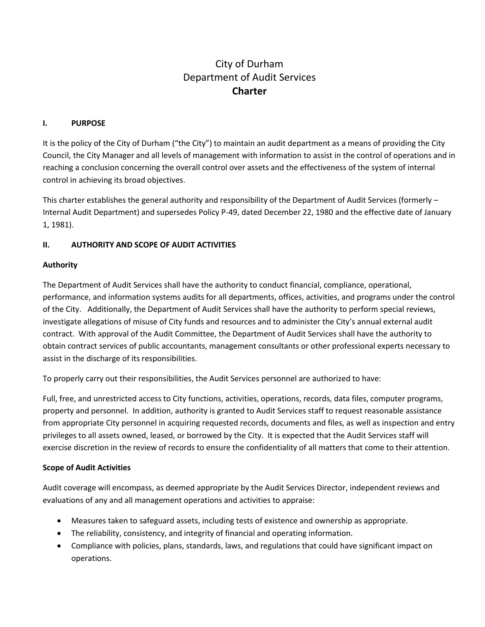# City of Durham Department of Audit Services **Charter**

# **I. PURPOSE**

It is the policy of the City of Durham ("the City") to maintain an audit department as a means of providing the City Council, the City Manager and all levels of management with information to assist in the control of operations and in reaching a conclusion concerning the overall control over assets and the effectiveness of the system of internal control in achieving its broad objectives.

This charter establishes the general authority and responsibility of the Department of Audit Services (formerly – Internal Audit Department) and supersedes Policy P-49, dated December 22, 1980 and the effective date of January 1, 1981).

# **II. AUTHORITY AND SCOPE OF AUDIT ACTIVITIES**

#### **Authority**

The Department of Audit Services shall have the authority to conduct financial, compliance, operational, performance, and information systems audits for all departments, offices, activities, and programs under the control of the City. Additionally, the Department of Audit Services shall have the authority to perform special reviews, investigate allegations of misuse of City funds and resources and to administer the City's annual external audit contract. With approval of the Audit Committee, the Department of Audit Services shall have the authority to obtain contract services of public accountants, management consultants or other professional experts necessary to assist in the discharge of its responsibilities.

To properly carry out their responsibilities, the Audit Services personnel are authorized to have:

Full, free, and unrestricted access to City functions, activities, operations, records, data files, computer programs, property and personnel. In addition, authority is granted to Audit Services staff to request reasonable assistance from appropriate City personnel in acquiring requested records, documents and files, as well as inspection and entry privileges to all assets owned, leased, or borrowed by the City. It is expected that the Audit Services staff will exercise discretion in the review of records to ensure the confidentiality of all matters that come to their attention.

#### **Scope of Audit Activities**

Audit coverage will encompass, as deemed appropriate by the Audit Services Director, independent reviews and evaluations of any and all management operations and activities to appraise:

- Measures taken to safeguard assets, including tests of existence and ownership as appropriate.
- The reliability, consistency, and integrity of financial and operating information.
- Compliance with policies, plans, standards, laws, and regulations that could have significant impact on operations.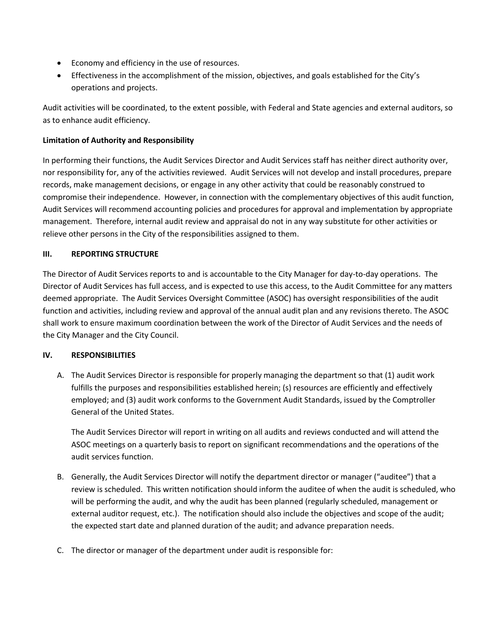- Economy and efficiency in the use of resources.
- Effectiveness in the accomplishment of the mission, objectives, and goals established for the City's operations and projects.

Audit activities will be coordinated, to the extent possible, with Federal and State agencies and external auditors, so as to enhance audit efficiency.

# **Limitation of Authority and Responsibility**

In performing their functions, the Audit Services Director and Audit Services staff has neither direct authority over, nor responsibility for, any of the activities reviewed. Audit Services will not develop and install procedures, prepare records, make management decisions, or engage in any other activity that could be reasonably construed to compromise their independence. However, in connection with the complementary objectives of this audit function, Audit Services will recommend accounting policies and procedures for approval and implementation by appropriate management. Therefore, internal audit review and appraisal do not in any way substitute for other activities or relieve other persons in the City of the responsibilities assigned to them.

## **III. REPORTING STRUCTURE**

The Director of Audit Services reports to and is accountable to the City Manager for day-to-day operations. The Director of Audit Services has full access, and is expected to use this access, to the Audit Committee for any matters deemed appropriate. The Audit Services Oversight Committee (ASOC) has oversight responsibilities of the audit function and activities, including review and approval of the annual audit plan and any revisions thereto. The ASOC shall work to ensure maximum coordination between the work of the Director of Audit Services and the needs of the City Manager and the City Council.

#### **IV. RESPONSIBILITIES**

A. The Audit Services Director is responsible for properly managing the department so that (1) audit work fulfills the purposes and responsibilities established herein; (s) resources are efficiently and effectively employed; and (3) audit work conforms to the Government Audit Standards, issued by the Comptroller General of the United States.

The Audit Services Director will report in writing on all audits and reviews conducted and will attend the ASOC meetings on a quarterly basis to report on significant recommendations and the operations of the audit services function.

- B. Generally, the Audit Services Director will notify the department director or manager ("auditee") that a review is scheduled. This written notification should inform the auditee of when the audit is scheduled, who will be performing the audit, and why the audit has been planned (regularly scheduled, management or external auditor request, etc.). The notification should also include the objectives and scope of the audit; the expected start date and planned duration of the audit; and advance preparation needs.
- C. The director or manager of the department under audit is responsible for: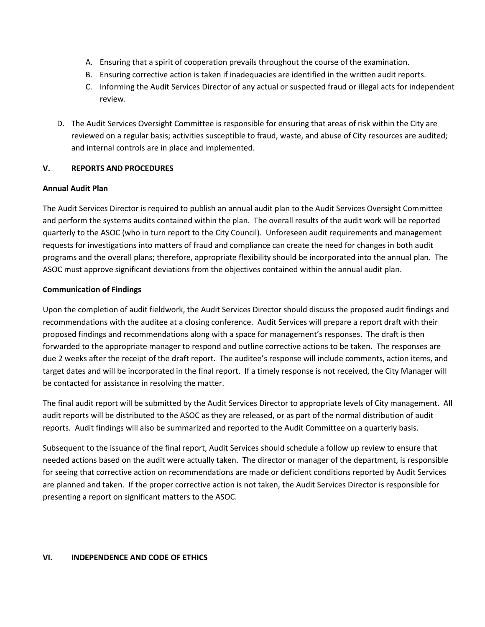- A. Ensuring that a spirit of cooperation prevails throughout the course of the examination.
- B. Ensuring corrective action is taken if inadequacies are identified in the written audit reports.
- C. Informing the Audit Services Director of any actual or suspected fraud or illegal acts for independent review.
- D. The Audit Services Oversight Committee is responsible for ensuring that areas of risk within the City are reviewed on a regular basis; activities susceptible to fraud, waste, and abuse of City resources are audited; and internal controls are in place and implemented.

## **V. REPORTS AND PROCEDURES**

## **Annual Audit Plan**

The Audit Services Director is required to publish an annual audit plan to the Audit Services Oversight Committee and perform the systems audits contained within the plan. The overall results of the audit work will be reported quarterly to the ASOC (who in turn report to the City Council). Unforeseen audit requirements and management requests for investigations into matters of fraud and compliance can create the need for changes in both audit programs and the overall plans; therefore, appropriate flexibility should be incorporated into the annual plan. The ASOC must approve significant deviations from the objectives contained within the annual audit plan.

## **Communication of Findings**

Upon the completion of audit fieldwork, the Audit Services Director should discuss the proposed audit findings and recommendations with the auditee at a closing conference. Audit Services will prepare a report draft with their proposed findings and recommendations along with a space for management's responses. The draft is then forwarded to the appropriate manager to respond and outline corrective actions to be taken. The responses are due 2 weeks after the receipt of the draft report. The auditee's response will include comments, action items, and target dates and will be incorporated in the final report. If a timely response is not received, the City Manager will be contacted for assistance in resolving the matter.

The final audit report will be submitted by the Audit Services Director to appropriate levels of City management. All audit reports will be distributed to the ASOC as they are released, or as part of the normal distribution of audit reports. Audit findings will also be summarized and reported to the Audit Committee on a quarterly basis.

Subsequent to the issuance of the final report, Audit Services should schedule a follow up review to ensure that needed actions based on the audit were actually taken. The director or manager of the department, is responsible for seeing that corrective action on recommendations are made or deficient conditions reported by Audit Services are planned and taken. If the proper corrective action is not taken, the Audit Services Director is responsible for presenting a report on significant matters to the ASOC.

#### **VI. INDEPENDENCE AND CODE OF ETHICS**